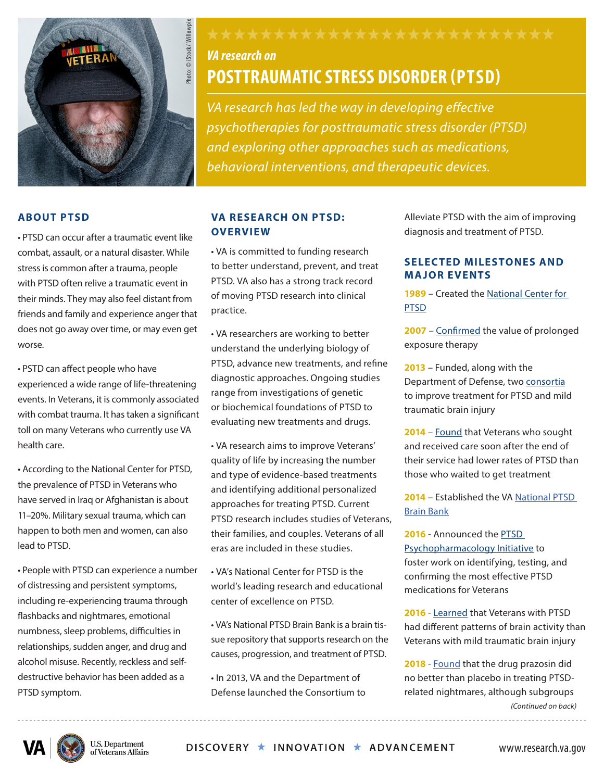

# *VA research on*

## **POSTTRAUMATIC STRESS DISORDER (PTSD)**

*VA research has led the way in developing effective psychotherapies for posttraumatic stress disorder (PTSD) and exploring other approaches such as medications, behavioral interventions, and therapeutic devices.* 

#### **ABOUT PTSD**

• PTSD can occur after a traumatic event like combat, assault, or a natural disaster. While stress is common after a trauma, people with PTSD often relive a traumatic event in their minds. They may also feel distant from friends and family and experience anger that does not go away over time, or may even get worse.

• PSTD can affect people who have experienced a wide range of life-threatening events. In Veterans, it is commonly associated with combat trauma. It has taken a significant toll on many Veterans who currently use VA health care.

• According to the National Center for PTSD, the prevalence of PTSD in Veterans who have served in Iraq or Afghanistan is about 11–20%. Military sexual trauma, which can happen to both men and women, can also lead to PTSD.

• People with PTSD can experience a number of distressing and persistent symptoms, including re-experiencing trauma through flashbacks and nightmares, emotional numbness, sleep problems, difficulties in relationships, sudden anger, and drug and alcohol misuse. Recently, reckless and selfdestructive behavior has been added as a PTSD symptom.

#### **VA RESEARCH ON PTSD: OVERVIEW**

• VA is committed to funding research to better understand, prevent, and treat PTSD. VA also has a strong track record of moving PTSD research into clinical practice.

• VA researchers are working to better understand the underlying biology of PTSD, advance new treatments, and refine diagnostic approaches. Ongoing studies range from investigations of genetic or biochemical foundations of PTSD to evaluating new treatments and drugs.

• VA research aims to improve Veterans' quality of life by increasing the number and type of evidence-based treatments and identifying additional personalized approaches for treating PTSD. Current PTSD research includes studies of Veterans, their families, and couples. Veterans of all eras are included in these studies.

• VA's National Center for PTSD is the world's leading research and educational center of excellence on PTSD.

• VA's National PTSD Brain Bank is a brain tissue repository that supports research on the causes, progression, and treatment of PTSD.

• In 2013, VA and the Department of Defense launched the Consortium to Alleviate PTSD with the aim of improving diagnosis and treatment of PTSD.

#### **SELECTED MILESTONES AND MA JOR EVENTS**

**1989** – Created the [National Center for](http://www.ptsd.va.gov/)  **[PTSD](http://www.ptsd.va.gov/)** 

**2007** – [Confirmed](http://www.ncbi.nlm.nih.gov/pubmed/17327524) the value of prolonged exposure therapy

**2013** – Funded, along with the Department of Defense, two [consortia](http://www.va.gov/opa/pressrel/pressrelease.cfm?id=2473) to improve treatment for PTSD and mild traumatic brain injury

**2014** – [Found](http://www.ncbi.nlm.nih.gov/pubmed/24922484) that Veterans who sought and received care soon after the end of their service had lower rates of PTSD than those who waited to get treatment

**2014** – Established the VA [National PTSD](https://www.research.va.gov/programs/tissue_banking/ptsd/default.cfm)  [Brain Bank](https://www.research.va.gov/programs/tissue_banking/ptsd/default.cfm)

**2016** - Announced the [PTSD](https://www.research.va.gov/services/csrd/ppi.cfm)  [Psychopharmacology Initiative](https://www.research.va.gov/services/csrd/ppi.cfm) to foster work on identifying, testing, and confirming the most effective PTSD medications for Veterans

**2016** - [Learned](https://www.ncbi.nlm.nih.gov/pubmed/27238074) that Veterans with PTSD had different patterns of brain activity than Veterans with mild traumatic brain injury

**2018** - [Found](https://pubmed.ncbi.nlm.nih.gov/29414272/) that the drug prazosin did no better than placebo in treating PTSDrelated nightmares, although subgroups *(Continued on back)*